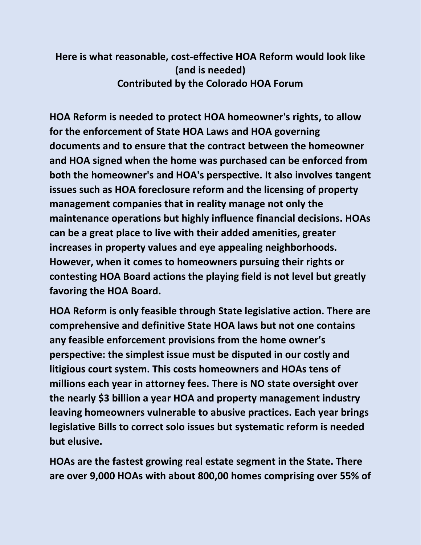## **Here is what reasonable, cost-effective HOA Reform would look like (and is needed) Contributed by the Colorado HOA Forum**

**HOA Reform is needed to protect HOA homeowner's rights, to allow for the enforcement of State HOA Laws and HOA governing documents and to ensure that the contract between the homeowner and HOA signed when the home was purchased can be enforced from both the homeowner's and HOA's perspective. It also involves tangent issues such as HOA foreclosure reform and the licensing of property management companies that in reality manage not only the maintenance operations but highly influence financial decisions. HOAs can be a great place to live with their added amenities, greater increases in property values and eye appealing neighborhoods. However, when it comes to homeowners pursuing their rights or contesting HOA Board actions the playing field is not level but greatly favoring the HOA Board.** 

**HOA Reform is only feasible through State legislative action. There are comprehensive and definitive State HOA laws but not one contains any feasible enforcement provisions from the home owner's perspective: the simplest issue must be disputed in our costly and litigious court system. This costs homeowners and HOAs tens of millions each year in attorney fees. There is NO state oversight over the nearly \$3 billion a year HOA and property management industry leaving homeowners vulnerable to abusive practices. Each year brings legislative Bills to correct solo issues but systematic reform is needed but elusive.** 

**HOAs are the fastest growing real estate segment in the State. There are over 9,000 HOAs with about 800,00 homes comprising over 55% of**